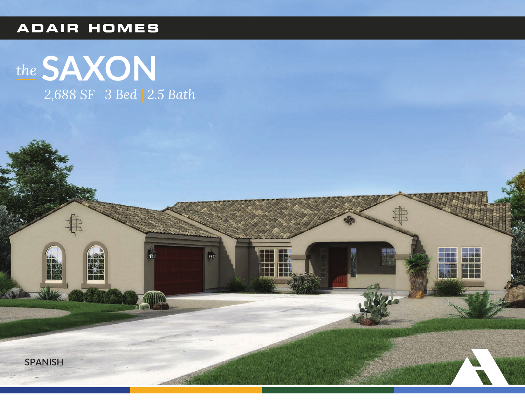## **ADAIR HOMES**



Ŵ

H



【然】